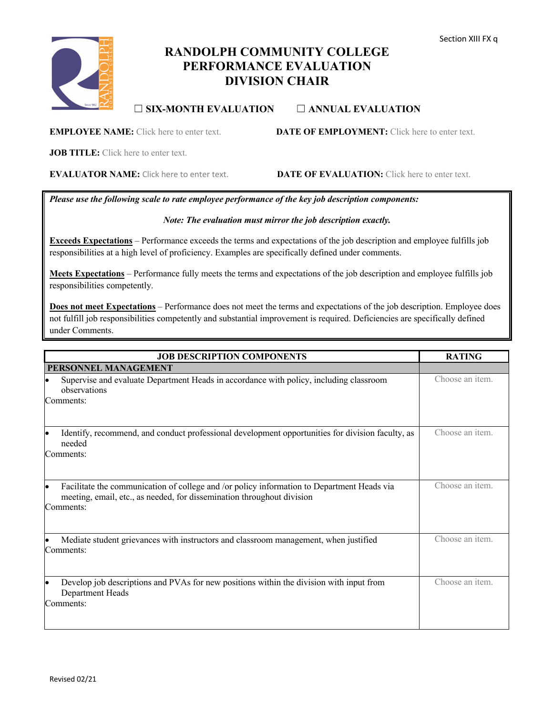# **RANDOLPH COMMUNITY COLLEGE PERFORMANCE EVALUATION DIVISION CHAIR**

## ☐ **SIX-MONTH EVALUATION** ☐ **ANNUAL EVALUATION**

## **EMPLOYEE NAME:** Click here to enter text. **DATE OF EMPLOYMENT:** Click here to enter text.

**JOB TITLE:** Click here to enter text.

**EVALUATOR NAME:** Click here to enter text. **DATE OF EVALUATION:** Click here to enter text.

*Please use the following scale to rate employee performance of the key job description components:*

## *Note: The evaluation must mirror the job description exactly.*

**Exceeds Expectations** – Performance exceeds the terms and expectations of the job description and employee fulfills job responsibilities at a high level of proficiency. Examples are specifically defined under comments.

**Meets Expectations** – Performance fully meets the terms and expectations of the job description and employee fulfills job responsibilities competently.

**Does not meet Expectations** – Performance does not meet the terms and expectations of the job description. Employee does not fulfill job responsibilities competently and substantial improvement is required. Deficiencies are specifically defined under Comments.

| <b>JOB DESCRIPTION COMPONENTS</b>                                                                                                                                                 | <b>RATING</b>   |
|-----------------------------------------------------------------------------------------------------------------------------------------------------------------------------------|-----------------|
| PERSONNEL MANAGEMENT                                                                                                                                                              |                 |
| Supervise and evaluate Department Heads in accordance with policy, including classroom<br>observations<br>Comments:                                                               | Choose an item. |
| Identify, recommend, and conduct professional development opportunities for division faculty, as<br>needed<br>Comments:                                                           | Choose an item. |
| Facilitate the communication of college and /or policy information to Department Heads via<br>meeting, email, etc., as needed, for dissemination throughout division<br>Comments: | Choose an item. |
| Mediate student grievances with instructors and classroom management, when justified<br>Comments:                                                                                 | Choose an item. |
| Develop job descriptions and PVAs for new positions within the division with input from<br>Department Heads<br>Comments:                                                          | Choose an item. |

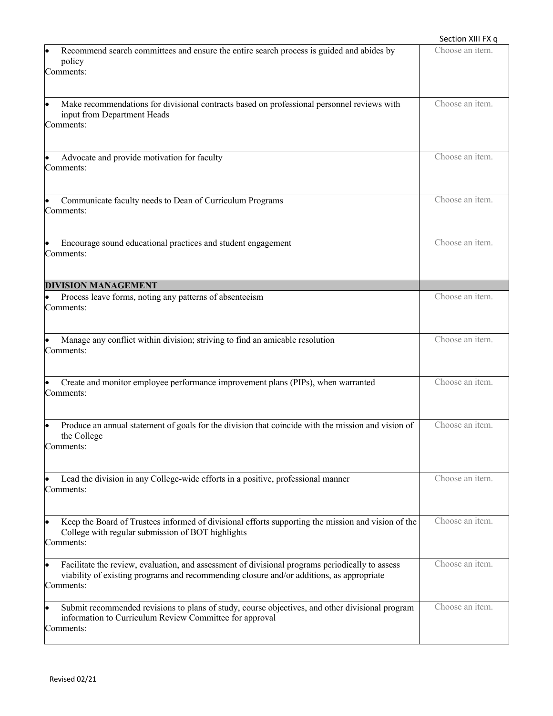|                                                                                                                                                                                                                       | Section XIII FX q |
|-----------------------------------------------------------------------------------------------------------------------------------------------------------------------------------------------------------------------|-------------------|
| Recommend search committees and ensure the entire search process is guided and abides by<br>policy<br>Comments:                                                                                                       | Choose an item.   |
| Make recommendations for divisional contracts based on professional personnel reviews with<br>input from Department Heads<br>Comments:                                                                                | Choose an item.   |
| Advocate and provide motivation for faculty<br>Comments:                                                                                                                                                              | Choose an item.   |
| Communicate faculty needs to Dean of Curriculum Programs<br>Comments:                                                                                                                                                 | Choose an item.   |
| Encourage sound educational practices and student engagement<br>Comments:                                                                                                                                             | Choose an item.   |
| <b>DIVISION MANAGEMENT</b>                                                                                                                                                                                            |                   |
| Process leave forms, noting any patterns of absenteeism<br>Comments:                                                                                                                                                  | Choose an item.   |
| Manage any conflict within division; striving to find an amicable resolution<br>Comments:                                                                                                                             | Choose an item.   |
| Create and monitor employee performance improvement plans (PIPs), when warranted<br>Comments:                                                                                                                         | Choose an item.   |
| Produce an annual statement of goals for the division that coincide with the mission and vision of<br>the College<br>Comments:                                                                                        | Choose an item.   |
| Lead the division in any College-wide efforts in a positive, professional manner<br>Comments:                                                                                                                         | Choose an item.   |
| Keep the Board of Trustees informed of divisional efforts supporting the mission and vision of the<br>$\bullet$<br>College with regular submission of BOT highlights<br>Comments:                                     | Choose an item.   |
| Facilitate the review, evaluation, and assessment of divisional programs periodically to assess<br>$\bullet$<br>viability of existing programs and recommending closure and/or additions, as appropriate<br>Comments: | Choose an item.   |
| Submit recommended revisions to plans of study, course objectives, and other divisional program<br>$\bullet$<br>information to Curriculum Review Committee for approval<br>Comments:                                  | Choose an item.   |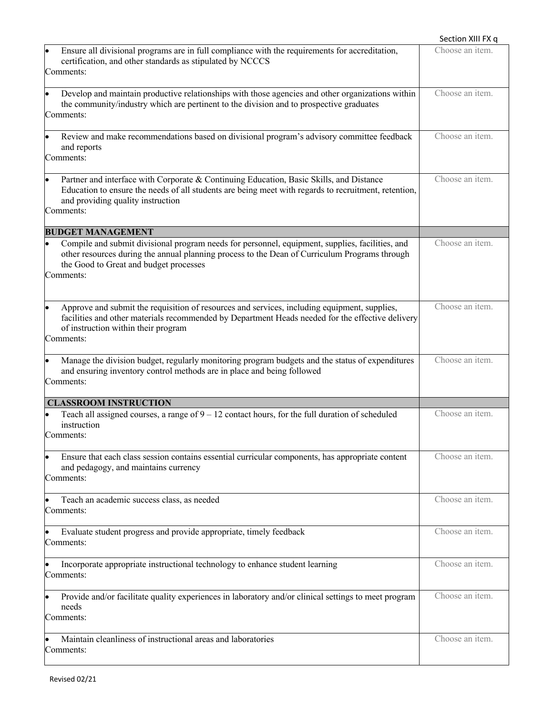|                                                                                                                                                                                                                                                            | Section XIII FX q       |
|------------------------------------------------------------------------------------------------------------------------------------------------------------------------------------------------------------------------------------------------------------|-------------------------|
| Ensure all divisional programs are in full compliance with the requirements for accreditation,<br>certification, and other standards as stipulated by NCCCS<br>Comments:                                                                                   | Choose an item.         |
| Develop and maintain productive relationships with those agencies and other organizations within<br>$\bullet$<br>the community/industry which are pertinent to the division and to prospective graduates<br>Comments:                                      | Choose an item.         |
| Review and make recommendations based on divisional program's advisory committee feedback<br>and reports<br>Comments:                                                                                                                                      | Choose an item.         |
| Partner and interface with Corporate & Continuing Education, Basic Skills, and Distance<br>Education to ensure the needs of all students are being meet with regards to recruitment, retention,<br>and providing quality instruction<br>Comments:          | Choose an item.         |
| <b>BUDGET MANAGEMENT</b>                                                                                                                                                                                                                                   |                         |
| Compile and submit divisional program needs for personnel, equipment, supplies, facilities, and<br>other resources during the annual planning process to the Dean of Curriculum Programs through<br>the Good to Great and budget processes<br>Comments:    | Choose an item.         |
| Approve and submit the requisition of resources and services, including equipment, supplies,<br>lo<br>facilities and other materials recommended by Department Heads needed for the effective delivery<br>of instruction within their program<br>Comments: | Choose an item.         |
| Manage the division budget, regularly monitoring program budgets and the status of expenditures<br>lo<br>and ensuring inventory control methods are in place and being followed<br>Comments:                                                               | Choose an item.         |
| <b>CLASSROOM INSTRUCTION</b>                                                                                                                                                                                                                               |                         |
| Teach all assigned courses, a range of $9 - 12$ contact hours, for the full duration of scheduled<br>instruction<br>Comments:                                                                                                                              | Choose an <i>item</i> . |
| Ensure that each class session contains essential curricular components, has appropriate content<br>and pedagogy, and maintains currency<br>Comments:                                                                                                      | Choose an item.         |
| Teach an academic success class, as needed<br>Comments:                                                                                                                                                                                                    | Choose an item.         |
| Evaluate student progress and provide appropriate, timely feedback<br>Comments:                                                                                                                                                                            | Choose an item.         |
| Incorporate appropriate instructional technology to enhance student learning<br>Comments:                                                                                                                                                                  | Choose an item.         |
| Provide and/or facilitate quality experiences in laboratory and/or clinical settings to meet program<br>needs<br>Comments:                                                                                                                                 | Choose an item.         |
| Maintain cleanliness of instructional areas and laboratories<br>Comments:                                                                                                                                                                                  | Choose an item.         |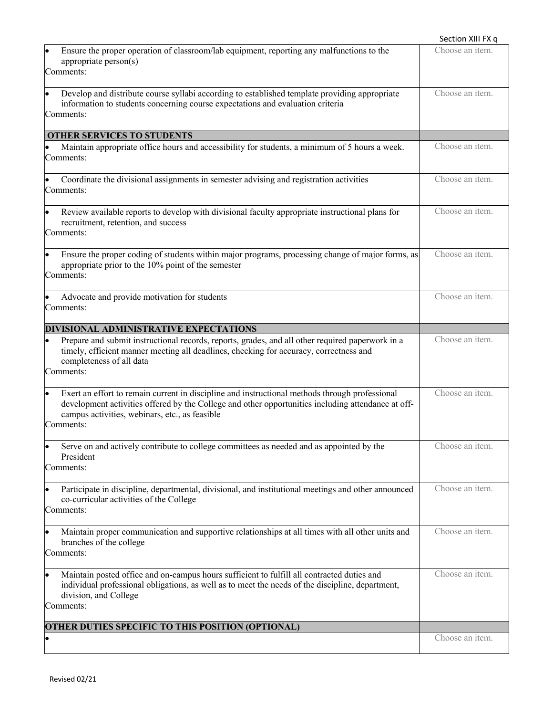|                                                                                                                                                                                                                                                                     | Section XIII FX q       |
|---------------------------------------------------------------------------------------------------------------------------------------------------------------------------------------------------------------------------------------------------------------------|-------------------------|
| Ensure the proper operation of classroom/lab equipment, reporting any malfunctions to the<br>appropriate person(s)<br>Comments:                                                                                                                                     | Choose an item.         |
| Develop and distribute course syllabi according to established template providing appropriate<br>information to students concerning course expectations and evaluation criteria<br>Comments:                                                                        | Choose an item.         |
| <b>OTHER SERVICES TO STUDENTS</b>                                                                                                                                                                                                                                   |                         |
| Maintain appropriate office hours and accessibility for students, a minimum of 5 hours a week.<br>Comments:                                                                                                                                                         | Choose an item.         |
| Coordinate the divisional assignments in semester advising and registration activities<br>Comments:                                                                                                                                                                 | Choose an item.         |
| Review available reports to develop with divisional faculty appropriate instructional plans for<br>recruitment, retention, and success<br>Comments:                                                                                                                 | Choose an item.         |
| Ensure the proper coding of students within major programs, processing change of major forms, as<br>appropriate prior to the 10% point of the semester<br>Comments:                                                                                                 | Choose an item.         |
| Advocate and provide motivation for students<br>Comments:                                                                                                                                                                                                           | Choose an item.         |
| DIVISIONAL ADMINISTRATIVE EXPECTATIONS                                                                                                                                                                                                                              |                         |
| Prepare and submit instructional records, reports, grades, and all other required paperwork in a<br>$\bullet$<br>timely, efficient manner meeting all deadlines, checking for accuracy, correctness and<br>completeness of all data<br>Comments:                    | Choose an item.         |
| Exert an effort to remain current in discipline and instructional methods through professional<br>development activities offered by the College and other opportunities including attendance at off-<br>campus activities, webinars, etc., as feasible<br>Comments: | Choose an item.         |
| Serve on and actively contribute to college committees as needed and as appointed by the<br>President<br>Comments:                                                                                                                                                  | Choose an item.         |
| Participate in discipline, departmental, divisional, and institutional meetings and other announced<br>co-curricular activities of the College<br>Comments:                                                                                                         | Choose an item.         |
| Maintain proper communication and supportive relationships at all times with all other units and<br>branches of the college<br>Comments:                                                                                                                            | Choose an <i>item</i> . |
| Maintain posted office and on-campus hours sufficient to fulfill all contracted duties and<br>individual professional obligations, as well as to meet the needs of the discipline, department,<br>division, and College<br>Comments:                                | Choose an item.         |
| OTHER DUTIES SPECIFIC TO THIS POSITION (OPTIONAL)                                                                                                                                                                                                                   |                         |
|                                                                                                                                                                                                                                                                     | Choose an item.         |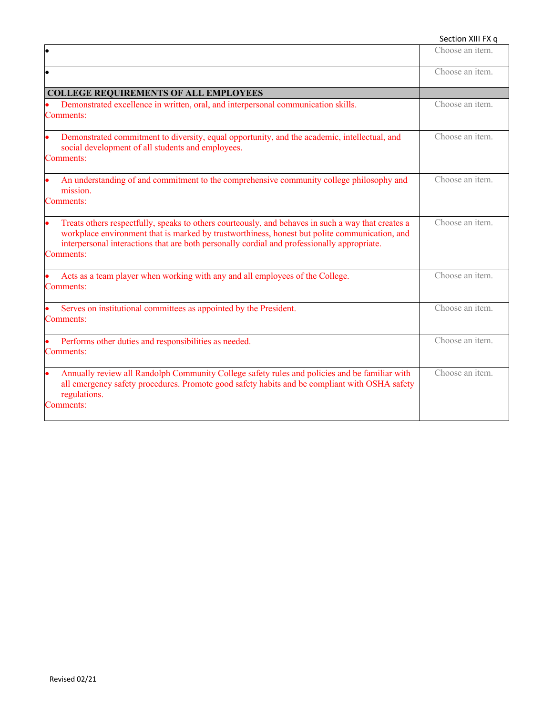#### Section XIII FX q

|                                                                                                                                                                                                                                                                                                                 | Choose an item. |
|-----------------------------------------------------------------------------------------------------------------------------------------------------------------------------------------------------------------------------------------------------------------------------------------------------------------|-----------------|
|                                                                                                                                                                                                                                                                                                                 | Choose an item. |
| <b>COLLEGE REQUIREMENTS OF ALL EMPLOYEES</b>                                                                                                                                                                                                                                                                    |                 |
| Demonstrated excellence in written, oral, and interpersonal communication skills.<br>Comments:                                                                                                                                                                                                                  | Choose an item. |
| Demonstrated commitment to diversity, equal opportunity, and the academic, intellectual, and<br>social development of all students and employees.<br>Comments:                                                                                                                                                  | Choose an item. |
| An understanding of and commitment to the comprehensive community college philosophy and<br>mission.<br>Comments:                                                                                                                                                                                               | Choose an item. |
| Treats others respectfully, speaks to others courteously, and behaves in such a way that creates a<br>workplace environment that is marked by trustworthiness, honest but polite communication, and<br>interpersonal interactions that are both personally cordial and professionally appropriate.<br>Comments: | Choose an item. |
| Acts as a team player when working with any and all employees of the College.<br><b>Comments:</b>                                                                                                                                                                                                               | Choose an item. |
| Serves on institutional committees as appointed by the President.<br>Comments:                                                                                                                                                                                                                                  | Choose an item. |
| Performs other duties and responsibilities as needed.<br>Comments:                                                                                                                                                                                                                                              | Choose an item. |
| Annually review all Randolph Community College safety rules and policies and be familiar with<br>all emergency safety procedures. Promote good safety habits and be compliant with OSHA safety<br>regulations.<br><b>Comments:</b>                                                                              | Choose an item. |